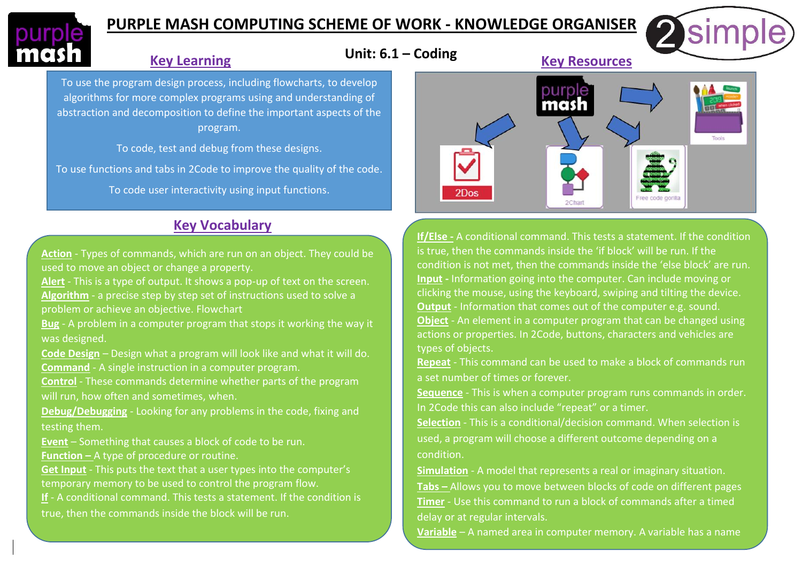

# **PURPLE MASH COMPUTING SCHEME OF WORK - KNOWLEDGE ORGANISER**

#### **Key Learning**

To use the program design process, including flowcharts, to develop algorithms for more complex programs using and understanding of abstraction and decomposition to define the important aspects of the program.

To code, test and debug from these designs.

To use functions and tabs in 2Code to improve the quality of the code.

To code user interactivity using input functions.

# **Key Vocabulary**

**Action** - Types of commands, which are run on an object. They could be used to move an object or change a property.

**Alert** - This is a type of output. It shows a pop-up of text on the screen. **Algorithm** - a precise step by step set of instructions used to solve a problem or achieve an objective. Flowchart

**Bug** - A problem in a computer program that stops it working the way it was designed.

**Code Design** – Design what a program will look like and what it will do. **Command** - A single instruction in a computer program.

**Control** - These commands determine whether parts of the program will run, how often and sometimes, when.

**Debug/Debugging** - Looking for any problems in the code, fixing and testing them.

**Event** – Something that causes a block of code to be run. **Function –** A type of procedure or routine.

**Get Input** - This puts the text that a user types into the computer's temporary memory to be used to control the program flow.

**If** - A conditional command. This tests a statement. If the condition is true, then the commands inside the block will be run.



**If/Else -** A conditional command. This tests a statement. If the condition is true, then the commands inside the 'if block' will be run. If the condition is not met, then the commands inside the 'else block' are run. **Input -** Information going into the computer. Can include moving or clicking the mouse, using the keyboard, swiping and tilting the device. **Output** - Information that comes out of the computer e.g. sound. **Object** - An element in a computer program that can be changed using actions or properties. In 2Code, buttons, characters and vehicles are types of objects.

**Repeat** - This command can be used to make a block of commands run a set number of times or forever.

**Sequence** - This is when a computer program runs commands in order. In 2Code this can also include "repeat" or a timer.

**Selection** - This is a conditional/decision command. When selection is used, a program will choose a different outcome depending on a condition.

**Simulation** - A model that represents a real or imaginary situation. **Tabs –** Allows you to move between blocks of code on different pages **Timer** - Use this command to run a block of commands after a timed

delay or at regular intervals.

**Variable** – A named area in computer memory. A variable has a name

and a value. The program can change this Variable Value.